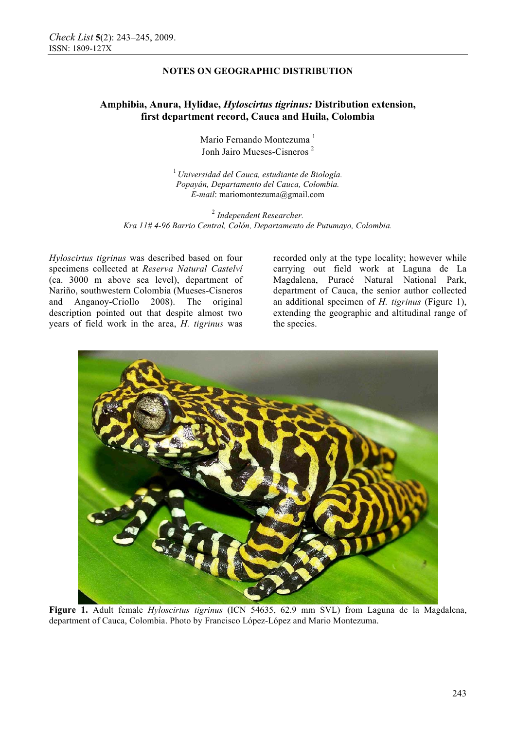# **Amphibia, Anura, Hylidae,** *Hyloscirtus tigrinus:* **Distribution extension, first department record, Cauca and Huila, Colombia**

Mario Fernando Montezuma<sup>1</sup> Jonh Jairo Mueses-Cisneros <sup>2</sup>

<sup>1</sup>*Universidad del Cauca, estudiante de Biología. Popayán, Departamento del Cauca, Colombia. E-mail*: mariomontezuma@gmail.com

<sup>2</sup> *Independent Researcher. Kra 11# 4-96 Barrio Central, Colón, Departamento de Putumayo, Colombia.*

*Hyloscirtus tigrinus* was described based on four specimens collected at *Reserva Natural Castelví* (ca. 3000 m above sea level), department of Nariño, southwestern Colombia (Mueses-Cisneros and Anganoy-Criollo 2008). The original description pointed out that despite almost two years of field work in the area, *H. tigrinus* was recorded only at the type locality; however while carrying out field work at Laguna de La Magdalena, Puracé Natural National Park, department of Cauca, the senior author collected an additional specimen of *H. tigrinus* (Figure 1), extending the geographic and altitudinal range of the species.



**Figure 1.** Adult female *Hyloscirtus tigrinus* (ICN 54635, 62.9 mm SVL) from Laguna de la Magdalena, department of Cauca, Colombia. Photo by Francisco López-López and Mario Montezuma.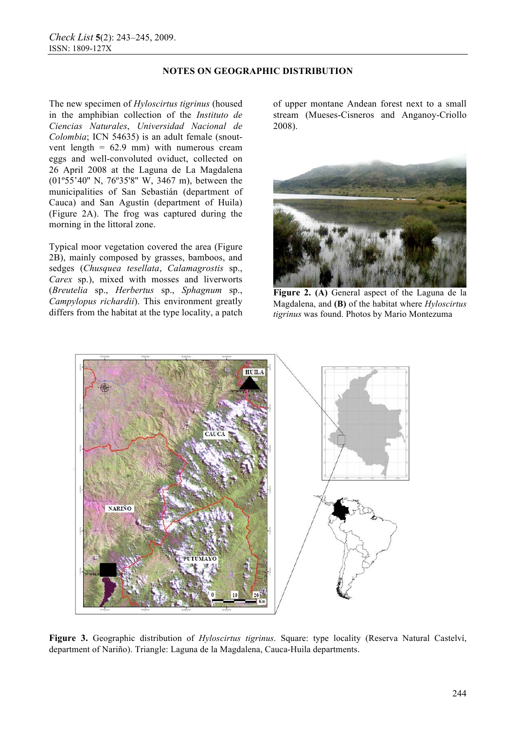The new specimen of *Hyloscirtus tigrinus* (housed in the amphibian collection of the *Instituto de Ciencias Naturales*, *Universidad Nacional de Colombia*; ICN 54635) is an adult female (snoutvent length  $= 62.9$  mm) with numerous cream eggs and well-convoluted oviduct, collected on 26 April 2008 at the Laguna de La Magdalena (01º55'40'' N, 76º35'8'' W, 3467 m), between the municipalities of San Sebastián (department of Cauca) and San Agustín (department of Huila) (Figure 2A). The frog was captured during the morning in the littoral zone.

Typical moor vegetation covered the area (Figure 2B), mainly composed by grasses, bamboos, and sedges (*Chusquea tesellata*, *Calamagrostis* sp., *Carex* sp.), mixed with mosses and liverworts (*Breutelia* sp., *Herbertus* sp., *Sphagnum* sp., *Campylopus richardii*). This environment greatly differs from the habitat at the type locality, a patch

of upper montane Andean forest next to a small stream (Mueses-Cisneros and Anganoy-Criollo 2008).



**Figure 2. (A)** General aspect of the Laguna de la Magdalena, and **(B)** of the habitat where *Hyloscirtus tigrinus* was found. Photos by Mario Montezuma



**Figure 3.** Geographic distribution of *Hyloscirtus tigrinus*. Square: type locality (Reserva Natural Castelví, department of Nariño). Triangle: Laguna de la Magdalena, Cauca-Huila departments.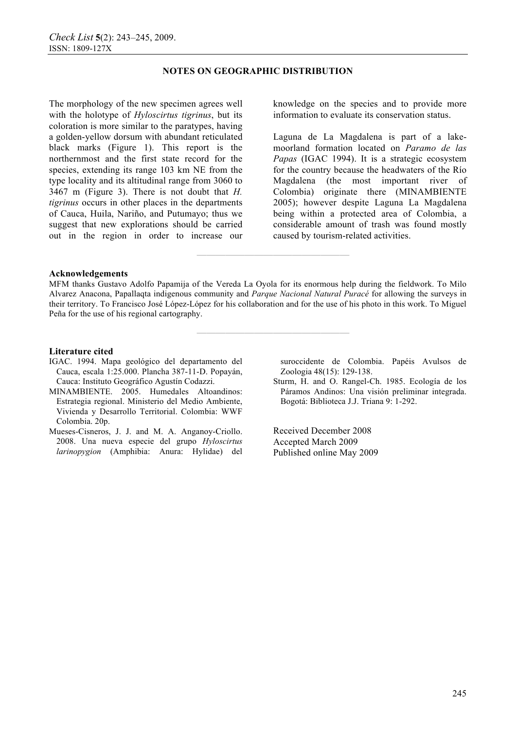The morphology of the new specimen agrees well with the holotype of *Hyloscirtus tigrinus*, but its coloration is more similar to the paratypes, having a golden-yellow dorsum with abundant reticulated black marks (Figure 1). This report is the northernmost and the first state record for the species, extending its range 103 km NE from the type locality and its altitudinal range from 3060 to 3467 m (Figure 3). There is not doubt that *H. tigrinus* occurs in other places in the departments of Cauca, Huila, Nariño, and Putumayo; thus we suggest that new explorations should be carried out in the region in order to increase our knowledge on the species and to provide more information to evaluate its conservation status.

Laguna de La Magdalena is part of a lakemoorland formation located on *Paramo de las Papas* (IGAC 1994). It is a strategic ecosystem for the country because the headwaters of the Río Magdalena (the most important river of Colombia) originate there (MINAMBIENTE 2005); however despite Laguna La Magdalena being within a protected area of Colombia, a considerable amount of trash was found mostly caused by tourism-related activities.

#### **Acknowledgements**

MFM thanks Gustavo Adolfo Papamija of the Vereda La Oyola for its enormous help during the fieldwork. To Milo Alvarez Anacona, Papallaqta indigenous community and *Parque Nacional Natural Puracé* for allowing the surveys in their territory. To Francisco José López-López for his collaboration and for the use of his photo in this work. To Miguel Peña for the use of his regional cartography.

**————————————————** 

**————————————————** 

#### **Literature cited**

- IGAC. 1994. Mapa geológico del departamento del Cauca, escala 1:25.000. Plancha 387-11-D. Popayán, Cauca: Instituto Geográfico Agustín Codazzi.
- MINAMBIENTE. 2005. Humedales Altoandinos: Estrategia regional. Ministerio del Medio Ambiente, Vivienda y Desarrollo Territorial. Colombia: WWF Colombia. 20p.
- Mueses-Cisneros, J. J. and M. A. Anganoy-Criollo. 2008. Una nueva especie del grupo *Hyloscirtus larinopygion* (Amphibia: Anura: Hylidae) del

suroccidente de Colombia. Papéis Avulsos de Zoologia 48(15): 129-138.

Sturm, H. and O. Rangel-Ch. 1985. Ecología de los Páramos Andinos: Una visión preliminar integrada. Bogotá: Biblioteca J.J. Triana 9: 1-292.

Received December 2008 Accepted March 2009 Published online May 2009